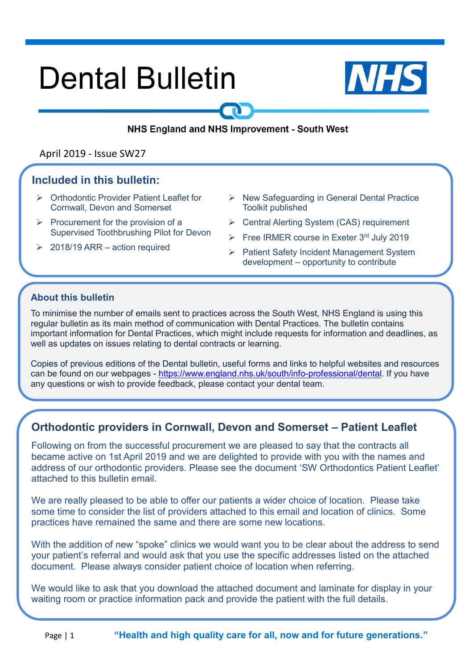# **Dental Bulletin**



#### NHS England and NHS Improvement - South West

#### April 2019 - Issue SW27

#### **Included in this bulletin:**

- ➢ Orthodontic Provider Patient Leaflet for Cornwall, Devon and Somerset
- $\triangleright$  Procurement for the provision of a Supervised Toothbrushing Pilot for Devon
- $\geq 2018/19$  ARR action required
- ➢ New Safeguarding in General Dental Practice Toolkit published
- ➢ Central Alerting System (CAS) requirement
- $\triangleright$  Free IRMER course in Exeter 3rd July 2019
- ➢ Patient Safety Incident Management System development – opportunity to contribute

#### **About this bulletin**

To minimise the number of emails sent to practices across the South West, NHS England is using this regular bulletin as its main method of communication with Dental Practices. The bulletin contains important information for Dental Practices, which might include requests for information and deadlines, as well as updates on issues relating to dental contracts or learning.

➢

Copies of previous editions of the Dental bulletin, useful forms and links to helpful websites and resources can be found on our webpages - [https://www.england.nhs.uk/south/info-professional/dental.](https://www.england.nhs.uk/south/info-professional/dental/dcis/forms/) If you have any questions or wish to provide feedback, please contact your dental team.

# **Orthodontic providers in Cornwall, Devon and Somerset – Patient Leaflet**

Following on from the successful procurement we are pleased to say that the contracts all became active on 1st April 2019 and we are delighted to provide with you with the names and address of our orthodontic providers. Please see the document 'SW Orthodontics Patient Leaflet' attached to this bulletin email.

We are really pleased to be able to offer our patients a wider choice of location. Please take some time to consider the list of providers attached to this email and location of clinics. Some practices have remained the same and there are some new locations.

With the addition of new "spoke" clinics we would want you to be clear about the address to send your patient's referral and would ask that you use the specific addresses listed on the attached document. Please always consider patient choice of location when referring.

We would like to ask that you download the attached document and laminate for display in your waiting room or practice information pack and provide the patient with the full details.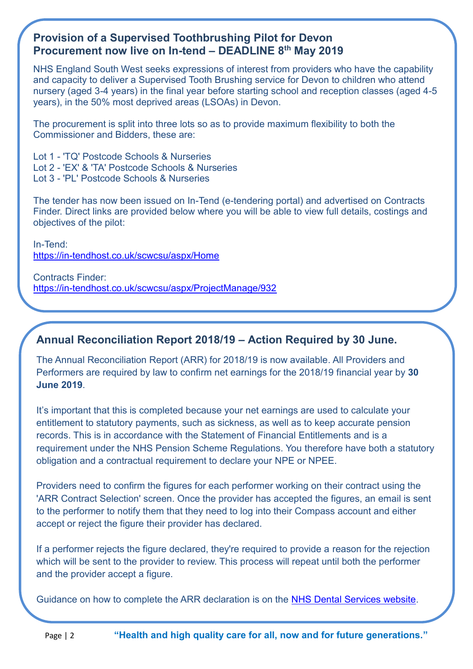# **Provision of a Supervised Toothbrushing Pilot for Devon Procurement now live on In-tend – DEADLINE 8th May 2019**

NHS England South West seeks expressions of interest from providers who have the capability and capacity to deliver a Supervised Tooth Brushing service for Devon to children who attend nursery (aged 3-4 years) in the final year before starting school and reception classes (aged 4-5 years), in the 50% most deprived areas (LSOAs) in Devon.

The procurement is split into three lots so as to provide maximum flexibility to both the Commissioner and Bidders, these are:

Lot 1 - 'TQ' Postcode Schools & Nurseries Lot 2 - 'EX' & 'TA' Postcode Schools & Nurseries Lot 3 - 'PL' Postcode Schools & Nurseries

The tender has now been issued on In-Tend (e-tendering portal) and advertised on Contracts Finder. Direct links are provided below where you will be able to view full details, costings and objectives of the pilot:

In-Tend: <https://in-tendhost.co.uk/scwcsu/aspx/Home>

Contracts Finder: <https://in-tendhost.co.uk/scwcsu/aspx/ProjectManage/932>

# **Annual Reconciliation Report 2018/19 – Action Required by 30 June.**

The Annual Reconciliation Report (ARR) for 2018/19 is now available. All Providers and Performers are required by law to confirm net earnings for the 2018/19 financial year by **30 June 2019**.

It's important that this is completed because your net earnings are used to calculate your entitlement to statutory payments, such as sickness, as well as to keep accurate pension records. This is in accordance with the Statement of Financial Entitlements and is a requirement under the NHS Pension Scheme Regulations. You therefore have both a statutory obligation and a contractual requirement to declare your NPE or NPEE.

Providers need to confirm the figures for each performer working on their contract using the 'ARR Contract Selection' screen. Once the provider has accepted the figures, an email is sent to the performer to notify them that they need to log into their Compass account and either accept or reject the figure their provider has declared.

If a performer rejects the figure declared, they're required to provide a reason for the rejection which will be sent to the provider to review. This process will repeat until both the performer and the provider accept a figure.

Guidance on how to complete the ARR declaration is on the [NHS Dental Services website.](https://www.nhsbsa.nhs.uk/provider-and-performer-pensions/annual-reconciliation-report-process-arr)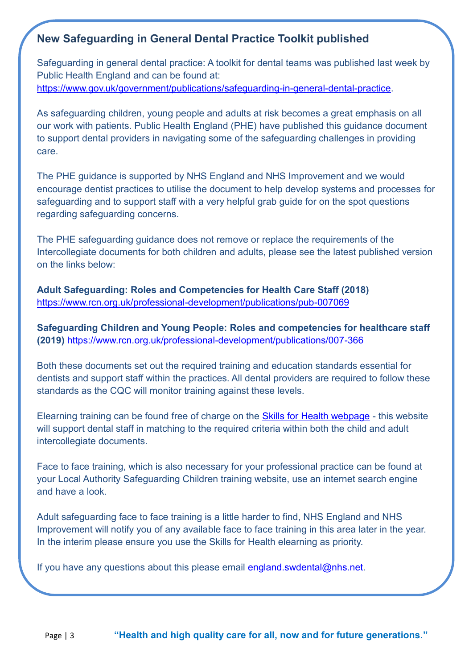# **New Safeguarding in General Dental Practice Toolkit published**

Safeguarding in general dental practice: A toolkit for dental teams was published last week by Public Health England and can be found at: [https://www.gov.uk/government/publications/safeguarding-in-general-dental-practice.](https://www.gov.uk/government/publications/safeguarding-in-general-dental-practice)

As safeguarding children, young people and adults at risk becomes a great emphasis on all our work with patients. Public Health England (PHE) have published this guidance document to support dental providers in navigating some of the safeguarding challenges in providing care.

The PHE guidance is supported by NHS England and NHS Improvement and we would encourage dentist practices to utilise the document to help develop systems and processes for safeguarding and to support staff with a very helpful grab guide for on the spot questions regarding safeguarding concerns.

The PHE safeguarding guidance does not remove or replace the requirements of the Intercollegiate documents for both children and adults, please see the latest published version on the links below:

**Adult Safeguarding: Roles and Competencies for Health Care Staff (2018)** <https://www.rcn.org.uk/professional-development/publications/pub-007069>

**Safeguarding Children and Young People: Roles and competencies for healthcare staff (2019)** <https://www.rcn.org.uk/professional-development/publications/007-366>

Both these documents set out the required training and education standards essential for dentists and support staff within the practices. All dental providers are required to follow these standards as the CQC will monitor training against these levels.

Elearning training can be found free of charge on the [Skills for Health webpage](http://www.skillsforhealth.org.uk/services/item/22-elearning-healthcare?gclid=EAIaIQobChMIjoqsg9jR4QIVybTtCh16wAjVEAAYAyAAEgIO0PD_BwE) - this website will support dental staff in matching to the required criteria within both the child and adult intercollegiate documents.

Face to face training, which is also necessary for your professional practice can be found at your Local Authority Safeguarding Children training website, use an internet search engine and have a look.

Adult safeguarding face to face training is a little harder to find, NHS England and NHS Improvement will notify you of any available face to face training in this area later in the year. In the interim please ensure you use the Skills for Health elearning as priority.

If you have any questions about this please email [england.swdental@nhs.net.](mailto:england.swdental@nhs.net)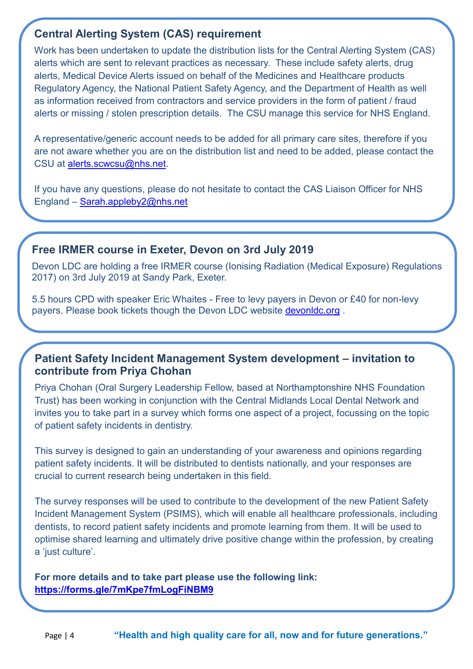# **Central Alerting System (CAS) requirement**

Work has been undertaken to update the distribution lists for the Central Alerting System (CAS) alerts which are sent to relevant practices as necessary. These include safety alerts, drug alerts, Medical Device Alerts issued on behalf of the Medicines and Healthcare products Regulatory Agency, the National Patient Safety Agency, and the Department of Health as well as information received from contractors and service providers in the form of patient / fraud alerts or missing / stolen prescription details. The CSU manage this service for NHS England.

A representative/generic account needs to be added for all primary care sites, therefore if you are not aware whether you are on the distribution list and need to be added, please contact the CSU at [alerts.scwcsu@nhs.net.](mailto:alerts.scwcsu@nhs.net)

If you have any questions, please do not hesitate to contact the CAS Liaison Officer for NHS England – [Sarah.appleby2@nhs.net](mailto:Sarah.appleby2@nhs.net)

#### **Free IRMER course in Exeter, Devon on 3rd July 2019**

Devon LDC are holding a free IRMER course (Ionising Radiation (Medical Exposure) Regulations 2017) on 3rd July 2019 at Sandy Park, Exeter.

5.5 hours CPD with speaker Eric Whaites - Free to levy payers in Devon or £40 for non-levy payers. Please book tickets though the Devon LDC website [devonldc.org](https://devonldc.org/2019/02/irmer-course/) .

#### **Patient Safety Incident Management System development – invitation to contribute from Priya Chohan**

Priya Chohan (Oral Surgery Leadership Fellow, based at Northamptonshire NHS Foundation Trust) has been working in conjunction with the Central Midlands Local Dental Network and invites you to take part in a survey which forms one aspect of a project, focussing on the topic of patient safety incidents in dentistry.

This survey is designed to gain an understanding of your awareness and opinions regarding patient safety incidents. It will be distributed to dentists nationally, and your responses are crucial to current research being undertaken in this field.

The survey responses will be used to contribute to the development of the new Patient Safety Incident Management System (PSIMS), which will enable all healthcare professionals, including dentists, to record patient safety incidents and promote learning from them. It will be used to optimise shared learning and ultimately drive positive change within the profession, by creating a 'just culture'.

**For more details and to take part please use the following link: <https://forms.gle/7mKpe7fmLogFiNBM9>**